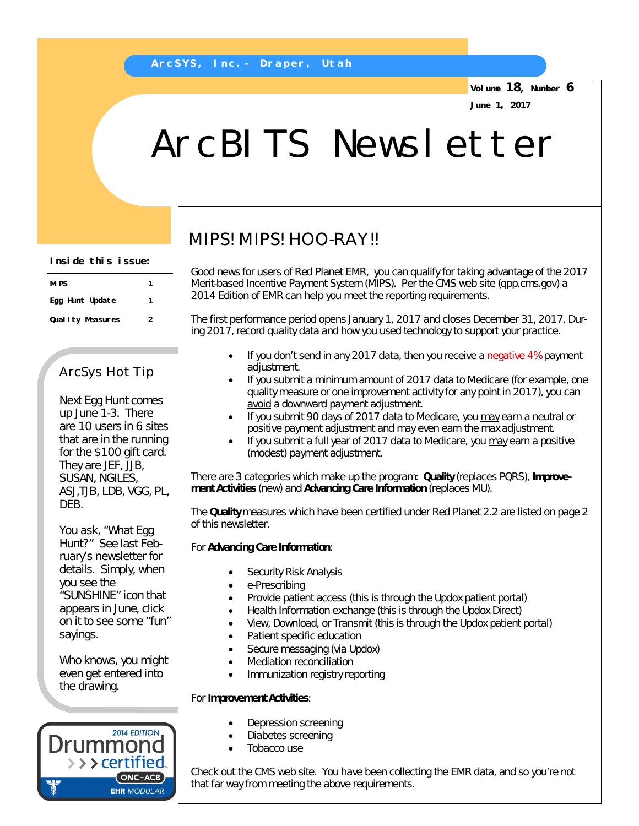**Volume 18, Number 6 June 1, 2017**

# ArcBITS Newsletter

**Inside this issue:**

| MI PS             |   |
|-------------------|---|
| Egg Hunt Update   | 1 |
| Qual ity Measures | 2 |

## ArcSys Hot Tip

Next Egg Hunt comes up June 1-3. There are 10 users in 6 sites that are in the running for the \$100 gift card. They are JEF, JJB, SUSAN, NGILES, ASJ,TJB, LDB, VGG, PL, DEB.

You ask, "What Egg Hunt?" See last February's newsletter for details. Simply, when you see the "SUNSHINE" icon that appears in June, click on it to see some "fun" sayings.

Who knows, you might even get entered into the drawing.



# MIPS! MIPS! HOO-RAY!!

Good news for users of Red Planet EMR, you can qualify for taking advantage of the 2017 Merit-based Incentive Payment System (MIPS). Per the CMS web site (qpp.cms.gov) a 2014 Edition of EMR can help you meet the reporting requirements.

The first performance period opens January 1, 2017 and closes December 31, 2017. During 2017, record quality data and how you used technology to support your practice.

- If you don't send in any 2017 data, then you receive a *negative 4%* payment adjustment.
- If you submit a minimum amount of 2017 data to Medicare (for example, one quality measure or one improvement activity for any point in 2017), you can avoid a downward payment adjustment.
- If you submit 90 days of 2017 data to Medicare, you may earn a neutral or positive payment adjustment and may even earn the max adjustment.
- If you submit a full year of 2017 data to Medicare, you may earn a positive (modest) payment adjustment.

There are 3 categories which make up the program: **Quality** (replaces PQRS), **Improvement Activities** (new) and **Advancing Care Information** (replaces MU).

The **Quality** measures which have been certified under Red Planet 2.2 are listed on page 2 of this newsletter.

### For **Advancing Care Information**:

- Security Risk Analysis
- e-Prescribing
- Provide patient access (this is through the Updox patient portal)
- Health Information exchange (this is through the Updox Direct)
- View, Download, or Transmit (this is through the Updox patient portal)
- Patient specific education
- Secure messaging (via Updox)
- Mediation reconciliation
- Immunization registry reporting

#### For **Improvement Activities**:

- Depression screening
- Diabetes screening
- Tobacco use

Check out the CMS web site. You have been collecting the EMR data, and so you're not that far way from meeting the above requirements.